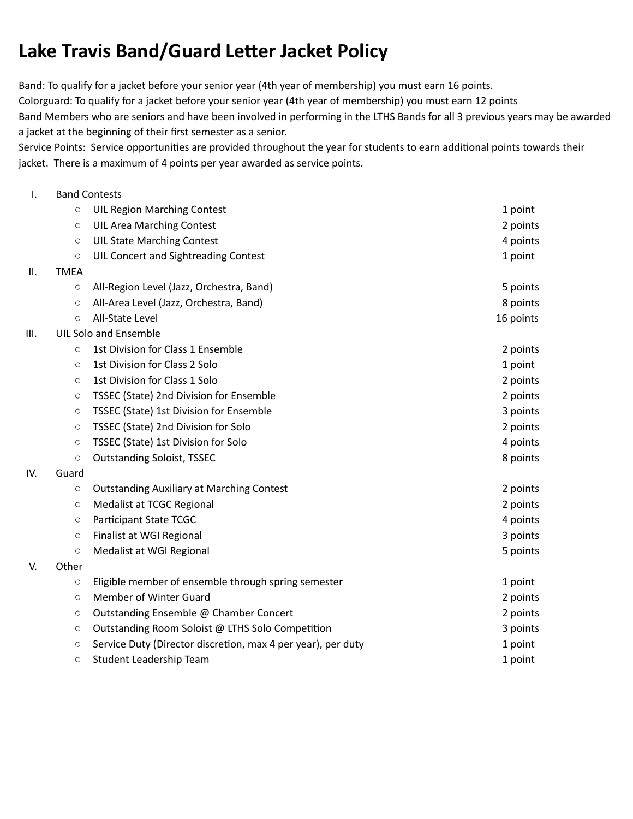## **Lake Travis Band/Guard Letter Jacket Policy**

Band: To qualify for a jacket before your senior year (4th year of membership) you must earn 16 points. Colorguard: To qualify for a jacket before your senior year (4th year of membership) you must earn 12 points Band Members who are seniors and have been involved in performing in the LTHS Bands for all 3 previous years may be awarded a jacket at the beginning of their first semester as a senior.

Service Points: Service opportunities are provided throughout the year for students to earn additional points towards their jacket. There is a maximum of 4 points per year awarded as service points.

## I. Band Contests

IV.

|     | $\circlearrowright$          | <b>UIL Region Marching Contest</b>                           | 1 point   |  |
|-----|------------------------------|--------------------------------------------------------------|-----------|--|
|     | $\circ$                      | <b>UIL Area Marching Contest</b>                             | 2 points  |  |
|     | $\circ$                      | <b>UIL State Marching Contest</b>                            | 4 points  |  |
|     | $\circ$                      | UIL Concert and Sightreading Contest                         | 1 point   |  |
| Ш.  | <b>TMEA</b>                  |                                                              |           |  |
|     | $\circ$                      | All-Region Level (Jazz, Orchestra, Band)                     | 5 points  |  |
|     | $\circ$                      | All-Area Level (Jazz, Orchestra, Band)                       | 8 points  |  |
|     | O                            | All-State Level                                              | 16 points |  |
| Ш.  | <b>UIL Solo and Ensemble</b> |                                                              |           |  |
|     | O                            | 1st Division for Class 1 Ensemble                            | 2 points  |  |
|     | $\circlearrowright$          | 1st Division for Class 2 Solo                                | 1 point   |  |
|     | $\circ$                      | 1st Division for Class 1 Solo                                | 2 points  |  |
|     | $\circlearrowright$          | TSSEC (State) 2nd Division for Ensemble                      | 2 points  |  |
|     | $\circ$                      | TSSEC (State) 1st Division for Ensemble                      | 3 points  |  |
|     | $\circlearrowright$          | TSSEC (State) 2nd Division for Solo                          | 2 points  |  |
|     | $\circ$                      | TSSEC (State) 1st Division for Solo                          | 4 points  |  |
|     | $\circlearrowright$          | <b>Outstanding Soloist, TSSEC</b>                            | 8 points  |  |
| IV. | Guard                        |                                                              |           |  |
|     | $\circ$                      | <b>Outstanding Auxiliary at Marching Contest</b>             | 2 points  |  |
|     | $\circ$                      | Medalist at TCGC Regional                                    | 2 points  |  |
|     | $\circlearrowright$          | Participant State TCGC                                       | 4 points  |  |
|     | $\circ$                      | Finalist at WGI Regional                                     | 3 points  |  |
|     | $\circ$                      | Medalist at WGI Regional                                     | 5 points  |  |
| V.  | Other                        |                                                              |           |  |
|     | O                            | Eligible member of ensemble through spring semester          | 1 point   |  |
|     | $\circlearrowright$          | Member of Winter Guard                                       | 2 points  |  |
|     | O                            | Outstanding Ensemble @ Chamber Concert                       | 2 points  |  |
|     | $\circ$                      | Outstanding Room Soloist @ LTHS Solo Competition             | 3 points  |  |
|     | $\circlearrowright$          | Service Duty (Director discretion, max 4 per year), per duty | 1 point   |  |
|     | $\circ$                      | Student Leadership Team                                      | 1 point   |  |